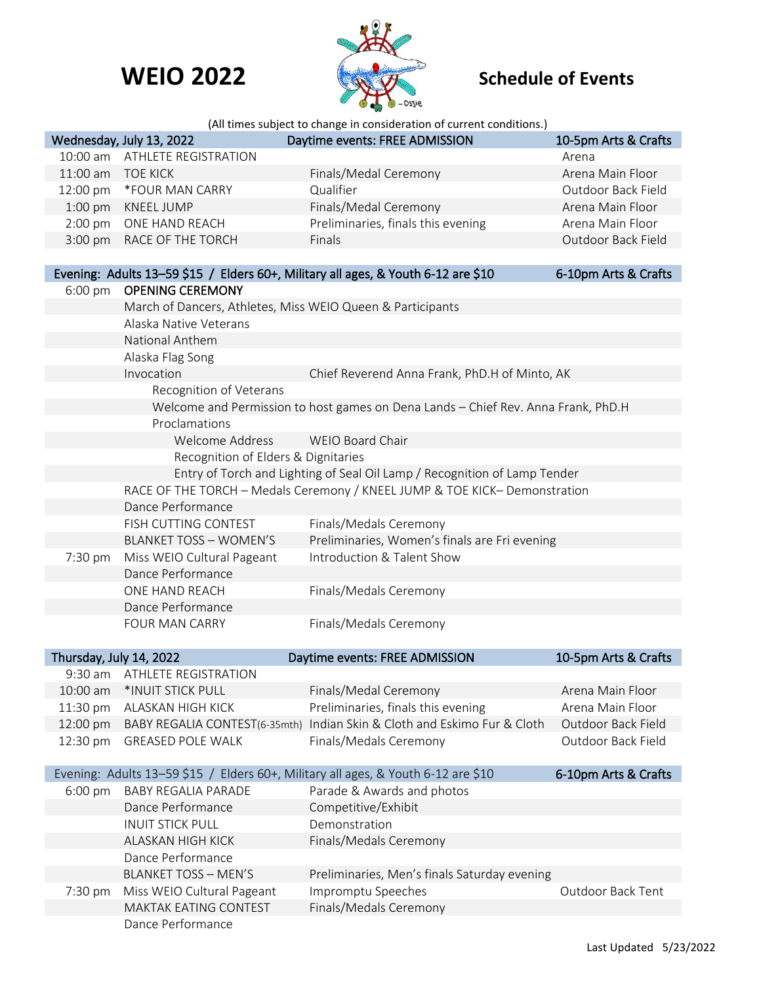## **WEIO 2022 Schedule of Events**



|                                                                                   |                                                                            | (All times subject to change in consideration of current conditions.)             |                      |  |  |
|-----------------------------------------------------------------------------------|----------------------------------------------------------------------------|-----------------------------------------------------------------------------------|----------------------|--|--|
|                                                                                   | Wednesday, July 13, 2022                                                   | Daytime events: FREE ADMISSION                                                    | 10-5pm Arts & Crafts |  |  |
| 10:00 am                                                                          | <b>ATHLETE REGISTRATION</b>                                                |                                                                                   | Arena                |  |  |
| 11:00 am                                                                          | <b>TOE KICK</b>                                                            | Finals/Medal Ceremony                                                             | Arena Main Floor     |  |  |
| 12:00 pm                                                                          | *FOUR MAN CARRY                                                            | Qualifier                                                                         | Outdoor Back Field   |  |  |
| $1:00$ pm                                                                         | KNEEL JUMP                                                                 | Finals/Medal Ceremony                                                             | Arena Main Floor     |  |  |
| $2:00$ pm                                                                         | ONE HAND REACH                                                             | Preliminaries, finals this evening                                                | Arena Main Floor     |  |  |
| 3:00 pm                                                                           | RACE OF THE TORCH                                                          | Finals                                                                            | Outdoor Back Field   |  |  |
|                                                                                   |                                                                            |                                                                                   |                      |  |  |
|                                                                                   |                                                                            | Evening: Adults 13-59 \$15 / Elders 60+, Military all ages, & Youth 6-12 are \$10 | 6-10pm Arts & Crafts |  |  |
| $6:00 \text{ pm}$                                                                 | <b>OPENING CEREMONY</b>                                                    |                                                                                   |                      |  |  |
|                                                                                   | March of Dancers, Athletes, Miss WEIO Queen & Participants                 |                                                                                   |                      |  |  |
|                                                                                   | Alaska Native Veterans                                                     |                                                                                   |                      |  |  |
|                                                                                   | National Anthem                                                            |                                                                                   |                      |  |  |
|                                                                                   | Alaska Flag Song                                                           |                                                                                   |                      |  |  |
|                                                                                   | Invocation                                                                 | Chief Reverend Anna Frank, PhD.H of Minto, AK                                     |                      |  |  |
|                                                                                   | Recognition of Veterans                                                    |                                                                                   |                      |  |  |
|                                                                                   |                                                                            | Welcome and Permission to host games on Dena Lands - Chief Rev. Anna Frank, PhD.H |                      |  |  |
|                                                                                   | Proclamations                                                              |                                                                                   |                      |  |  |
|                                                                                   | Welcome Address                                                            | WEIO Board Chair                                                                  |                      |  |  |
|                                                                                   | Recognition of Elders & Dignitaries                                        |                                                                                   |                      |  |  |
|                                                                                   |                                                                            | Entry of Torch and Lighting of Seal Oil Lamp / Recognition of Lamp Tender         |                      |  |  |
|                                                                                   | RACE OF THE TORCH - Medals Ceremony / KNEEL JUMP & TOE KICK- Demonstration |                                                                                   |                      |  |  |
|                                                                                   | Dance Performance                                                          |                                                                                   |                      |  |  |
|                                                                                   | FISH CUTTING CONTEST                                                       | Finals/Medals Ceremony                                                            |                      |  |  |
|                                                                                   | <b>BLANKET TOSS - WOMEN'S</b>                                              | Preliminaries, Women's finals are Fri evening                                     |                      |  |  |
| 7:30 pm                                                                           | Miss WEIO Cultural Pageant                                                 | Introduction & Talent Show                                                        |                      |  |  |
|                                                                                   | Dance Performance                                                          |                                                                                   |                      |  |  |
|                                                                                   | ONE HAND REACH                                                             | Finals/Medals Ceremony                                                            |                      |  |  |
|                                                                                   | Dance Performance                                                          |                                                                                   |                      |  |  |
|                                                                                   | <b>FOUR MAN CARRY</b>                                                      | Finals/Medals Ceremony                                                            |                      |  |  |
|                                                                                   |                                                                            |                                                                                   |                      |  |  |
| Thursday, July 14, 2022                                                           |                                                                            | Daytime events: FREE ADMISSION                                                    | 10-5pm Arts & Crafts |  |  |
| $9:30$ am                                                                         | <b>ATHLETE REGISTRATION</b>                                                |                                                                                   |                      |  |  |
| 10:00 am                                                                          | *INUIT STICK PULL                                                          | Finals/Medal Ceremony                                                             | Arena Main Floor     |  |  |
| 11:30 pm                                                                          | ALASKAN HIGH KICK                                                          | Preliminaries, finals this evening                                                | Arena Main Floor     |  |  |
| 12:00 pm                                                                          |                                                                            | BABY REGALIA CONTEST(6-35mth) Indian Skin & Cloth and Eskimo Fur & Cloth          | Outdoor Back Field   |  |  |
| 12:30 pm                                                                          | <b>GREASED POLE WALK</b>                                                   | Finals/Medals Ceremony                                                            | Outdoor Back Field   |  |  |
| Evening: Adults 13-59 \$15 / Elders 60+, Military all ages, & Youth 6-12 are \$10 |                                                                            |                                                                                   |                      |  |  |
|                                                                                   |                                                                            |                                                                                   | 6-10pm Arts & Crafts |  |  |
| 6:00 pm                                                                           | <b>BABY REGALIA PARADE</b>                                                 | Parade & Awards and photos                                                        |                      |  |  |
|                                                                                   | Dance Performance                                                          | Competitive/Exhibit<br>Demonstration                                              |                      |  |  |
|                                                                                   | <b>INUIT STICK PULL</b>                                                    |                                                                                   |                      |  |  |
|                                                                                   | <b>ALASKAN HIGH KICK</b>                                                   | Finals/Medals Ceremony                                                            |                      |  |  |
|                                                                                   | Dance Performance                                                          |                                                                                   |                      |  |  |
|                                                                                   | <b>BLANKET TOSS - MEN'S</b>                                                | Preliminaries, Men's finals Saturday evening                                      |                      |  |  |
| 7:30 pm                                                                           | Miss WEIO Cultural Pageant                                                 | Impromptu Speeches                                                                | Outdoor Back Tent    |  |  |
|                                                                                   | MAKTAK EATING CONTEST                                                      | Finals/Medals Ceremony                                                            |                      |  |  |
|                                                                                   | Dance Performance                                                          |                                                                                   |                      |  |  |